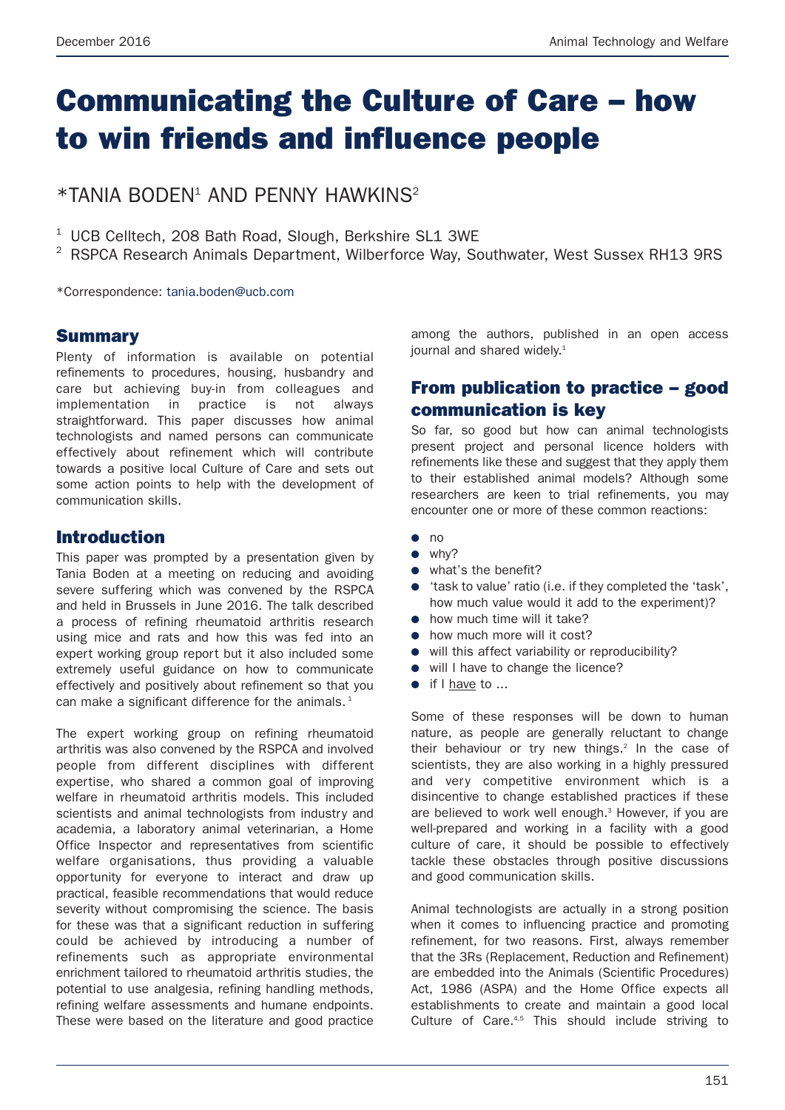# **Communicating the Culture of Care – how to win friends and influence people**

\*TANIA BODEN1 AND PENNY HAWKINS2

- <sup>1</sup> UCB Celltech, 208 Bath Road, Slough, Berkshire SL1 3WE
- <sup>2</sup> RSPCA Research Animals Department, Wilberforce Way, Southwater, West Sussex RH13 9RS

\*Correspondence: tania.boden@ucb.com

### **Summary**

Plenty of information is available on potential refinements to procedures, housing, husbandry and care but achieving buy-in from colleagues and implementation in practice is not always straightforward. This paper discusses how animal technologists and named persons can communicate effectively about refinement which will contribute towards a positive local Culture of Care and sets out some action points to help with the development of communication skills.

## **Introduction**

This paper was prompted by a presentation given by Tania Boden at a meeting on reducing and avoiding severe suffering which was convened by the RSPCA and held in Brussels in June 2016. The talk described a process of refining rheumatoid arthritis research using mice and rats and how this was fed into an expert working group report but it also included some extremely useful guidance on how to communicate effectively and positively about refinement so that you can make a significant difference for the animals. $<sup>1</sup>$ </sup>

The expert working group on refining rheumatoid arthritis was also convened by the RSPCA and involved people from different disciplines with different expertise, who shared a common goal of improving welfare in rheumatoid arthritis models. This included scientists and animal technologists from industry and academia, a laboratory animal veterinarian, a Home Office Inspector and representatives from scientific welfare organisations, thus providing a valuable opportunity for everyone to interact and draw up practical, feasible recommendations that would reduce severity without compromising the science. The basis for these was that a significant reduction in suffering could be achieved by introducing a number of refinements such as appropriate environmental enrichment tailored to rheumatoid arthritis studies, the potential to use analgesia, refining handling methods, refining welfare assessments and humane endpoints. These were based on the literature and good practice

among the authors, published in an open access journal and shared widely.<sup>1</sup>

# **From publication to practice – good communication is key**

So far, so good but how can animal technologists present project and personal licence holders with refinements like these and suggest that they apply them to their established animal models? Although some researchers are keen to trial refinements, you may encounter one or more of these common reactions:

- no
- why?
- what's the benefit?
- 'task to value' ratio (i.e. if they completed the 'task', how much value would it add to the experiment)?
- how much time will it take?
- how much more will it cost?
- will this affect variability or reproducibility?
- will I have to change the licence?
- if I have to ...

Some of these responses will be down to human nature, as people are generally reluctant to change their behaviour or try new things. $2$  In the case of scientists, they are also working in a highly pressured and very competitive environment which is a disincentive to change established practices if these are believed to work well enough.<sup>3</sup> However, if you are well-prepared and working in a facility with a good culture of care, it should be possible to effectively tackle these obstacles through positive discussions and good communication skills.

Animal technologists are actually in a strong position when it comes to influencing practice and promoting refinement, for two reasons. First, always remember that the 3Rs (Replacement, Reduction and Refinement) are embedded into the Animals (Scientific Procedures) Act, 1986 (ASPA) and the Home Office expects all establishments to create and maintain a good local Culture of Care.<sup>4,5</sup> This should include striving to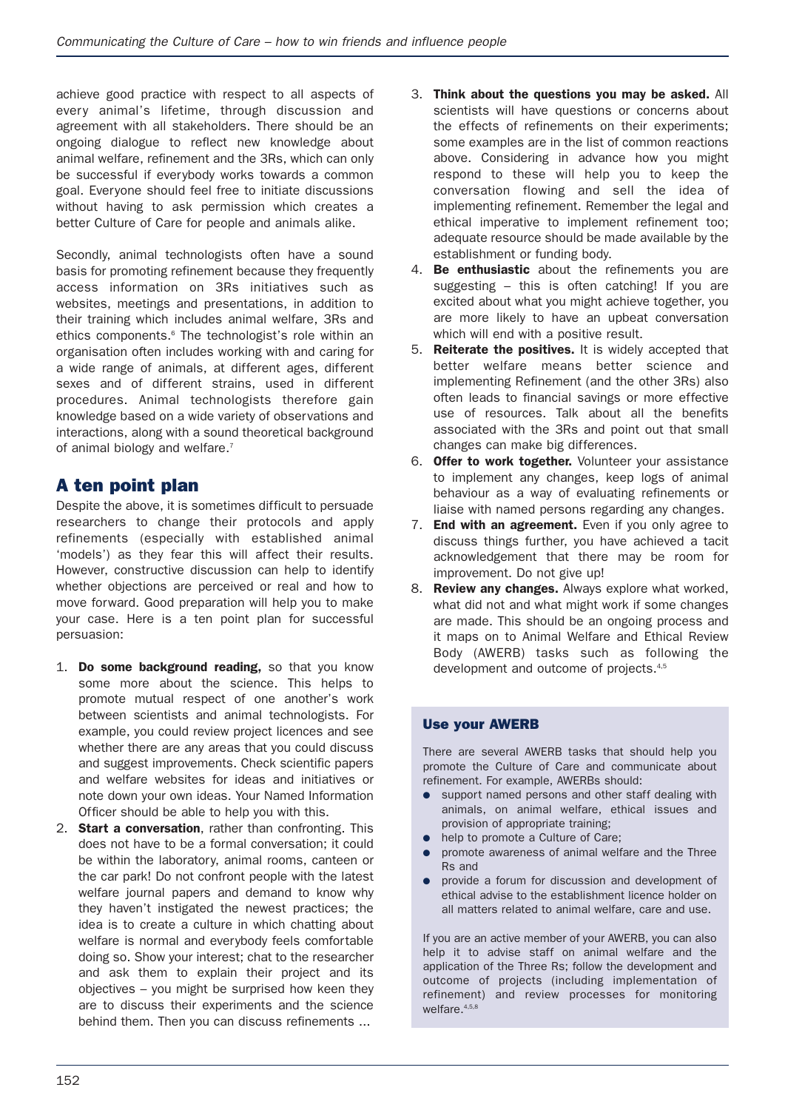achieve good practice with respect to all aspects of every animal's lifetime, through discussion and agreement with all stakeholders. There should be an ongoing dialogue to reflect new knowledge about animal welfare, refinement and the 3Rs, which can only be successful if everybody works towards a common goal. Everyone should feel free to initiate discussions without having to ask permission which creates a better Culture of Care for people and animals alike.

Secondly, animal technologists often have a sound basis for promoting refinement because they frequently access information on 3Rs initiatives such as websites, meetings and presentations, in addition to their training which includes animal welfare, 3Rs and ethics components.<sup>6</sup> The technologist's role within an organisation often includes working with and caring for a wide range of animals, at different ages, different sexes and of different strains, used in different procedures. Animal technologists therefore gain knowledge based on a wide variety of observations and interactions, along with a sound theoretical background of animal biology and welfare.<sup>7</sup>

## **A ten point plan**

Despite the above, it is sometimes difficult to persuade researchers to change their protocols and apply refinements (especially with established animal 'models') as they fear this will affect their results. However, constructive discussion can help to identify whether objections are perceived or real and how to move forward. Good preparation will help you to make your case. Here is a ten point plan for successful persuasion:

- 1. **Do some background reading,** so that you know some more about the science. This helps to promote mutual respect of one another's work between scientists and animal technologists. For example, you could review project licences and see whether there are any areas that you could discuss and suggest improvements. Check scientific papers and welfare websites for ideas and initiatives or note down your own ideas. Your Named Information Officer should be able to help you with this.
- 2. **Start a conversation**, rather than confronting. This does not have to be a formal conversation; it could be within the laboratory, animal rooms, canteen or the car park! Do not confront people with the latest welfare journal papers and demand to know why they haven't instigated the newest practices; the idea is to create a culture in which chatting about welfare is normal and everybody feels comfortable doing so. Show your interest; chat to the researcher and ask them to explain their project and its objectives – you might be surprised how keen they are to discuss their experiments and the science behind them. Then you can discuss refinements ...
- 3. **Think about the questions you may be asked.** All scientists will have questions or concerns about the effects of refinements on their experiments; some examples are in the list of common reactions above. Considering in advance how you might respond to these will help you to keep the conversation flowing and sell the idea of implementing refinement. Remember the legal and ethical imperative to implement refinement too; adequate resource should be made available by the establishment or funding body.
- 4. **Be enthusiastic** about the refinements you are suggesting – this is often catching! If you are excited about what you might achieve together, you are more likely to have an upbeat conversation which will end with a positive result.
- 5. **Reiterate the positives.** It is widely accepted that better welfare means better science and implementing Refinement (and the other 3Rs) also often leads to financial savings or more effective use of resources. Talk about all the benefits associated with the 3Rs and point out that small changes can make big differences.
- 6. **Offer to work together.** Volunteer your assistance to implement any changes, keep logs of animal behaviour as a way of evaluating refinements or liaise with named persons regarding any changes.
- 7. **End with an agreement.** Even if you only agree to discuss things further, you have achieved a tacit acknowledgement that there may be room for improvement. Do not give up!
- 8. **Review any changes.** Always explore what worked, what did not and what might work if some changes are made. This should be an ongoing process and it maps on to Animal Welfare and Ethical Review Body (AWERB) tasks such as following the development and outcome of projects.4,5

#### **Use your AWERB**

There are several AWERB tasks that should help you promote the Culture of Care and communicate about refinement. For example, AWERBs should:

- support named persons and other staff dealing with animals, on animal welfare, ethical issues and provision of appropriate training;
- help to promote a Culture of Care;
- promote awareness of animal welfare and the Three Rs and
- provide a forum for discussion and development of ethical advise to the establishment licence holder on all matters related to animal welfare, care and use.

If you are an active member of your AWERB, you can also help it to advise staff on animal welfare and the application of the Three Rs; follow the development and outcome of projects (including implementation of refinement) and review processes for monitoring welfare.<sup>4,5,8</sup>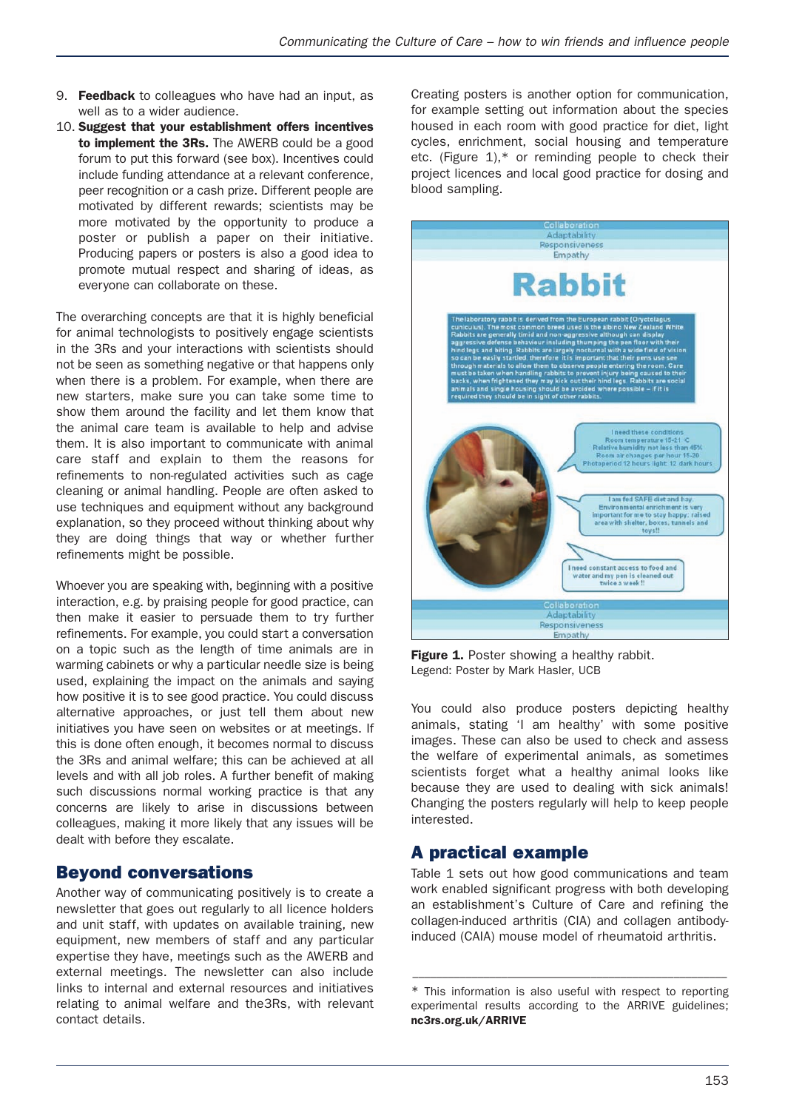- 9. **Feedback** to colleagues who have had an input, as well as to a wider audience.
- 10. **Suggest that your establishment offers incentives to implement the 3Rs.** The AWERB could be a good forum to put this forward (see box). Incentives could include funding attendance at a relevant conference, peer recognition or a cash prize. Different people are motivated by different rewards; scientists may be more motivated by the opportunity to produce a poster or publish a paper on their initiative. Producing papers or posters is also a good idea to promote mutual respect and sharing of ideas, as everyone can collaborate on these.

The overarching concepts are that it is highly beneficial for animal technologists to positively engage scientists in the 3Rs and your interactions with scientists should not be seen as something negative or that happens only when there is a problem. For example, when there are new starters, make sure you can take some time to show them around the facility and let them know that the animal care team is available to help and advise them. It is also important to communicate with animal care staff and explain to them the reasons for refinements to non-regulated activities such as cage cleaning or animal handling. People are often asked to use techniques and equipment without any background explanation, so they proceed without thinking about why they are doing things that way or whether further refinements might be possible.

Whoever you are speaking with, beginning with a positive interaction, e.g. by praising people for good practice, can then make it easier to persuade them to try further refinements. For example, you could start a conversation on a topic such as the length of time animals are in warming cabinets or why a particular needle size is being used, explaining the impact on the animals and saying how positive it is to see good practice. You could discuss alternative approaches, or just tell them about new initiatives you have seen on websites or at meetings. If this is done often enough, it becomes normal to discuss the 3Rs and animal welfare; this can be achieved at all levels and with all job roles. A further benefit of making such discussions normal working practice is that any concerns are likely to arise in discussions between colleagues, making it more likely that any issues will be dealt with before they escalate.

## **Beyond conversations**

Another way of communicating positively is to create a newsletter that goes out regularly to all licence holders and unit staff, with updates on available training, new equipment, new members of staff and any particular expertise they have, meetings such as the AWERB and external meetings. The newsletter can also include links to internal and external resources and initiatives relating to animal welfare and the3Rs, with relevant contact details.

Creating posters is another option for communication, for example setting out information about the species housed in each room with good practice for diet, light cycles, enrichment, social housing and temperature etc. (Figure  $1$ ),\* or reminding people to check their project licences and local good practice for dosing and blood sampling.



Figure 1. Poster showing a healthy rabbit. Legend: Poster by Mark Hasler, UCB

You could also produce posters depicting healthy animals, stating 'I am healthy' with some positive images. These can also be used to check and assess the welfare of experimental animals, as sometimes scientists forget what a healthy animal looks like because they are used to dealing with sick animals! Changing the posters regularly will help to keep people interested.

# **A practical example**

Table 1 sets out how good communications and team work enabled significant progress with both developing an establishment's Culture of Care and refining the collagen-induced arthritis (CIA) and collagen antibodyinduced (CAIA) mouse model of rheumatoid arthritis.

–––––––––––––––––––––––––––––––––––––––––––––––––––––

<sup>\*</sup> This information is also useful with respect to reporting experimental results according to the ARRIVE guidelines; **nc3rs.org.uk/ARRIVE**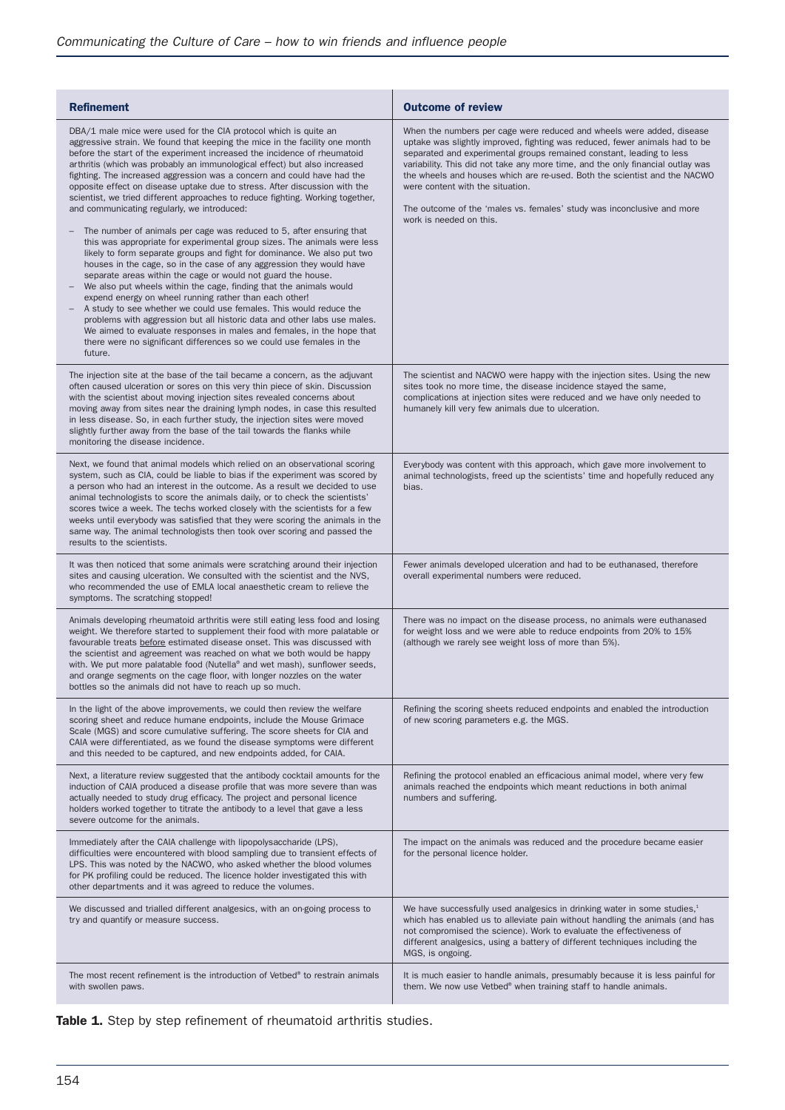| <b>Refinement</b>                                                                                                                                                                                                                                                                                                                                                                                                                                                                                                                                                                                                                                                                                                                         | <b>Outcome of review</b>                                                                                                                                                                                                                                                                                                                                                                                                                                                                                                              |
|-------------------------------------------------------------------------------------------------------------------------------------------------------------------------------------------------------------------------------------------------------------------------------------------------------------------------------------------------------------------------------------------------------------------------------------------------------------------------------------------------------------------------------------------------------------------------------------------------------------------------------------------------------------------------------------------------------------------------------------------|---------------------------------------------------------------------------------------------------------------------------------------------------------------------------------------------------------------------------------------------------------------------------------------------------------------------------------------------------------------------------------------------------------------------------------------------------------------------------------------------------------------------------------------|
| DBA/1 male mice were used for the CIA protocol which is quite an<br>aggressive strain. We found that keeping the mice in the facility one month<br>before the start of the experiment increased the incidence of rheumatoid<br>arthritis (which was probably an immunological effect) but also increased<br>fighting. The increased aggression was a concern and could have had the<br>opposite effect on disease uptake due to stress. After discussion with the<br>scientist, we tried different approaches to reduce fighting. Working together,<br>and communicating regularly, we introduced:<br>The number of animals per cage was reduced to 5, after ensuring that                                                                | When the numbers per cage were reduced and wheels were added, disease<br>uptake was slightly improved, fighting was reduced, fewer animals had to be<br>separated and experimental groups remained constant, leading to less<br>variability. This did not take any more time, and the only financial outlay was<br>the wheels and houses which are re-used. Both the scientist and the NACWO<br>were content with the situation.<br>The outcome of the 'males vs. females' study was inconclusive and more<br>work is needed on this. |
| this was appropriate for experimental group sizes. The animals were less<br>likely to form separate groups and fight for dominance. We also put two<br>houses in the cage, so in the case of any aggression they would have<br>separate areas within the cage or would not guard the house.<br>We also put wheels within the cage, finding that the animals would<br>expend energy on wheel running rather than each other!<br>A study to see whether we could use females. This would reduce the<br>problems with aggression but all historic data and other labs use males.<br>We aimed to evaluate responses in males and females, in the hope that<br>there were no significant differences so we could use females in the<br>future. |                                                                                                                                                                                                                                                                                                                                                                                                                                                                                                                                       |
| The injection site at the base of the tail became a concern, as the adjuvant<br>often caused ulceration or sores on this very thin piece of skin. Discussion<br>with the scientist about moving injection sites revealed concerns about<br>moving away from sites near the draining lymph nodes, in case this resulted<br>in less disease. So, in each further study, the injection sites were moved<br>slightly further away from the base of the tail towards the flanks while<br>monitoring the disease incidence.                                                                                                                                                                                                                     | The scientist and NACWO were happy with the injection sites. Using the new<br>sites took no more time, the disease incidence stayed the same,<br>complications at injection sites were reduced and we have only needed to<br>humanely kill very few animals due to ulceration.                                                                                                                                                                                                                                                        |
| Next, we found that animal models which relied on an observational scoring<br>system, such as CIA, could be liable to bias if the experiment was scored by<br>a person who had an interest in the outcome. As a result we decided to use<br>animal technologists to score the animals daily, or to check the scientists'<br>scores twice a week. The techs worked closely with the scientists for a few<br>weeks until everybody was satisfied that they were scoring the animals in the<br>same way. The animal technologists then took over scoring and passed the<br>results to the scientists.                                                                                                                                        | Everybody was content with this approach, which gave more involvement to<br>animal technologists, freed up the scientists' time and hopefully reduced any<br>bias.                                                                                                                                                                                                                                                                                                                                                                    |
| It was then noticed that some animals were scratching around their injection<br>sites and causing ulceration. We consulted with the scientist and the NVS,<br>who recommended the use of EMLA local anaesthetic cream to relieve the<br>symptoms. The scratching stopped!                                                                                                                                                                                                                                                                                                                                                                                                                                                                 | Fewer animals developed ulceration and had to be euthanased, therefore<br>overall experimental numbers were reduced.                                                                                                                                                                                                                                                                                                                                                                                                                  |
| Animals developing rheumatoid arthritis were still eating less food and losing<br>weight. We therefore started to supplement their food with more palatable or<br>favourable treats before estimated disease onset. This was discussed with<br>the scientist and agreement was reached on what we both would be happy<br>with. We put more palatable food (Nutella® and wet mash), sunflower seeds,<br>and orange segments on the cage floor, with longer nozzles on the water<br>bottles so the animals did not have to reach up so much.                                                                                                                                                                                                | There was no impact on the disease process, no animals were euthanased<br>for weight loss and we were able to reduce endpoints from 20% to 15%<br>(although we rarely see weight loss of more than 5%).                                                                                                                                                                                                                                                                                                                               |
| In the light of the above improvements, we could then review the welfare<br>scoring sheet and reduce humane endpoints, include the Mouse Grimace<br>Scale (MGS) and score cumulative suffering. The score sheets for CIA and<br>CAIA were differentiated, as we found the disease symptoms were different<br>and this needed to be captured, and new endpoints added, for CAIA.                                                                                                                                                                                                                                                                                                                                                           | Refining the scoring sheets reduced endpoints and enabled the introduction<br>of new scoring parameters e.g. the MGS.                                                                                                                                                                                                                                                                                                                                                                                                                 |
| Next, a literature review suggested that the antibody cocktail amounts for the<br>induction of CAIA produced a disease profile that was more severe than was<br>actually needed to study drug efficacy. The project and personal licence<br>holders worked together to titrate the antibody to a level that gave a less<br>severe outcome for the animals.                                                                                                                                                                                                                                                                                                                                                                                | Refining the protocol enabled an efficacious animal model, where very few<br>animals reached the endpoints which meant reductions in both animal<br>numbers and suffering.                                                                                                                                                                                                                                                                                                                                                            |
| Immediately after the CAIA challenge with lipopolysaccharide (LPS),<br>difficulties were encountered with blood sampling due to transient effects of<br>LPS. This was noted by the NACWO, who asked whether the blood volumes<br>for PK profiling could be reduced. The licence holder investigated this with<br>other departments and it was agreed to reduce the volumes.                                                                                                                                                                                                                                                                                                                                                               | The impact on the animals was reduced and the procedure became easier<br>for the personal licence holder.                                                                                                                                                                                                                                                                                                                                                                                                                             |
| We discussed and trialled different analgesics, with an on-going process to<br>try and quantify or measure success.                                                                                                                                                                                                                                                                                                                                                                                                                                                                                                                                                                                                                       | We have successfully used analgesics in drinking water in some studies, <sup>1</sup><br>which has enabled us to alleviate pain without handling the animals (and has<br>not compromised the science). Work to evaluate the effectiveness of<br>different analgesics, using a battery of different techniques including the<br>MGS, is ongoing.                                                                                                                                                                                        |
| The most recent refinement is the introduction of Vetbed <sup>®</sup> to restrain animals<br>with swollen paws.                                                                                                                                                                                                                                                                                                                                                                                                                                                                                                                                                                                                                           | It is much easier to handle animals, presumably because it is less painful for<br>them. We now use Vetbed® when training staff to handle animals.                                                                                                                                                                                                                                                                                                                                                                                     |

Table 1. Step by step refinement of rheumatoid arthritis studies.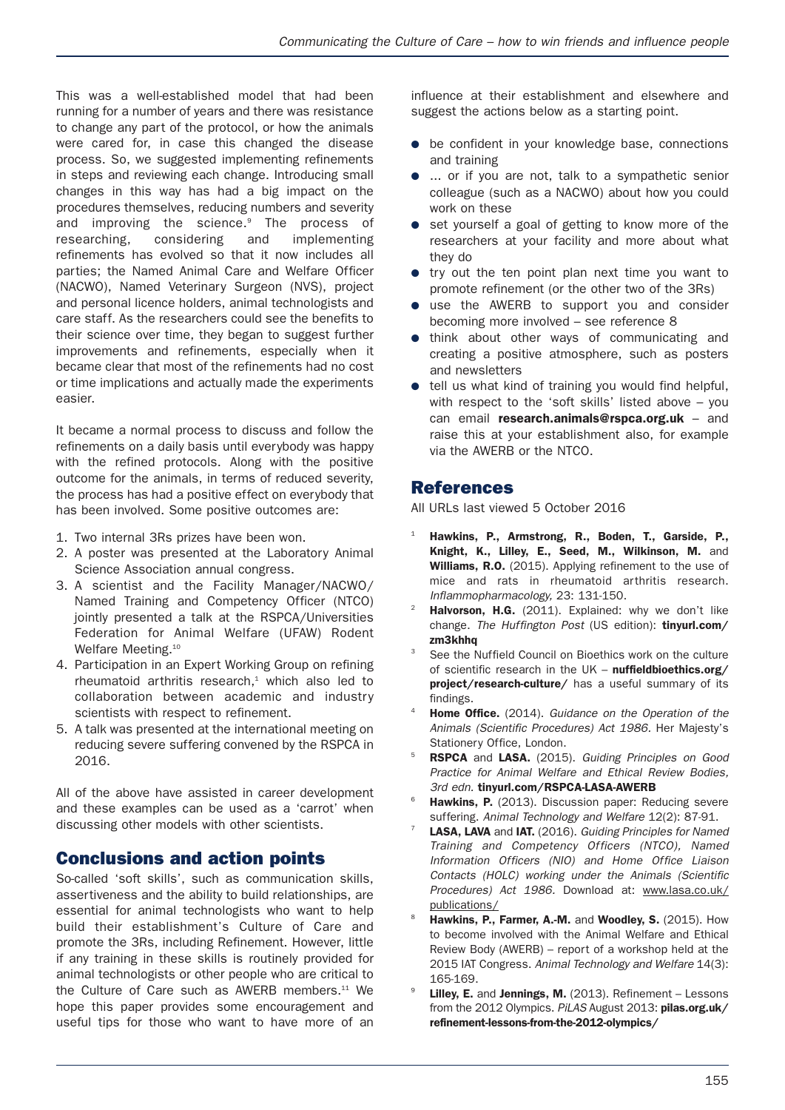This was a well-established model that had been running for a number of years and there was resistance to change any part of the protocol, or how the animals were cared for, in case this changed the disease process. So, we suggested implementing refinements in steps and reviewing each change. Introducing small changes in this way has had a big impact on the procedures themselves, reducing numbers and severity and improving the science.<sup>9</sup> The process of researching, considering and implementing refinements has evolved so that it now includes all parties; the Named Animal Care and Welfare Officer (NACWO), Named Veterinary Surgeon (NVS), project and personal licence holders, animal technologists and care staff. As the researchers could see the benefits to their science over time, they began to suggest further improvements and refinements, especially when it became clear that most of the refinements had no cost or time implications and actually made the experiments easier.

It became a normal process to discuss and follow the refinements on a daily basis until everybody was happy with the refined protocols. Along with the positive outcome for the animals, in terms of reduced severity, the process has had a positive effect on everybody that has been involved. Some positive outcomes are:

- 1. Two internal 3Rs prizes have been won.
- 2. A poster was presented at the Laboratory Animal Science Association annual congress.
- 3. A scientist and the Facility Manager/NACWO/ Named Training and Competency Officer (NTCO) jointly presented a talk at the RSPCA/Universities Federation for Animal Welfare (UFAW) Rodent Welfare Meeting.<sup>10</sup>
- 4. Participation in an Expert Working Group on refining rheumatoid arthritis research, $<sup>1</sup>$  which also led to</sup> collaboration between academic and industry scientists with respect to refinement.
- 5. A talk was presented at the international meeting on reducing severe suffering convened by the RSPCA in 2016.

All of the above have assisted in career development and these examples can be used as a 'carrot' when discussing other models with other scientists.

# **Conclusions and action points**

So-called 'soft skills', such as communication skills, assertiveness and the ability to build relationships, are essential for animal technologists who want to help build their establishment's Culture of Care and promote the 3Rs, including Refinement. However, little if any training in these skills is routinely provided for animal technologists or other people who are critical to the Culture of Care such as AWERB members.<sup>11</sup> We hope this paper provides some encouragement and useful tips for those who want to have more of an

influence at their establishment and elsewhere and suggest the actions below as a starting point.

- be confident in your knowledge base, connections and training
- ... or if you are not, talk to a sympathetic senior colleague (such as a NACWO) about how you could work on these
- set yourself a goal of getting to know more of the researchers at your facility and more about what they do
- try out the ten point plan next time you want to promote refinement (or the other two of the 3Rs)
- use the AWERB to support you and consider becoming more involved – see reference 8
- think about other ways of communicating and creating a positive atmosphere, such as posters and newsletters
- tell us what kind of training you would find helpful, with respect to the 'soft skills' listed above – you can email **research.animals@rspca.org.uk** – and raise this at your establishment also, for example via the AWERB or the NTCO.

## **References**

All URLs last viewed 5 October 2016

- <sup>1</sup> **Hawkins, P., Armstrong, R., Boden, T., Garside, P., Knight, K., Lilley, E., Seed, M., Wilkinson, M.** and **Williams, R.O.** (2015). Applying refinement to the use of mice and rats in rheumatoid arthritis research. *Inflammopharmacology,* 23: 131-150.
- Halvorson, H.G. (2011). Explained: why we don't like change. *The Huffington Post* (US edition): **tinyurl.com/ zm3khhq**
- <sup>3</sup> See the Nuffield Council on Bioethics work on the culture of scientific research in the UK – **nuffieldbioethics.org/ project/research-culture/** has a useful summary of its findings.
- <sup>4</sup> **Home Office.** (2014). *Guidance on the Operation of the Animals (Scientific Procedures) Act 1986.* Her Majesty's Stationery Office, London.
- <sup>5</sup> **RSPCA** and **LASA.** (2015). *Guiding Principles on Good Practice for Animal Welfare and Ethical Review Bodies, 3rd edn.* **tinyurl.com/RSPCA-LASA-AWERB**
- Hawkins, P. (2013). Discussion paper: Reducing severe suffering. *Animal Technology and Welfare* 12(2): 87-91.
- <sup>7</sup> **LASA, LAVA** and **IAT.** (2016). *Guiding Principles for Named Training and Competency Officers (NTCO), Named Information Officers (NIO) and Home Office Liaison Contacts (HOLC) working under the Animals (Scientific Procedures) Act 1986.* Download at: www.lasa.co.uk/ publications/
- <sup>8</sup> **Hawkins, P., Farmer, A.-M.** and **Woodley, S.** (2015). How to become involved with the Animal Welfare and Ethical Review Body (AWERB) – report of a workshop held at the 2015 IAT Congress. *Animal Technology and Welfare* 14(3): 165-169.
- <sup>9</sup> **Lilley, E.** and **Jennings, M.** (2013). Refinement Lessons from the 2012 Olympics. *PiLAS* August 2013: **pilas.org.uk/ refinement-lessons-from-the-2012-olympics/**